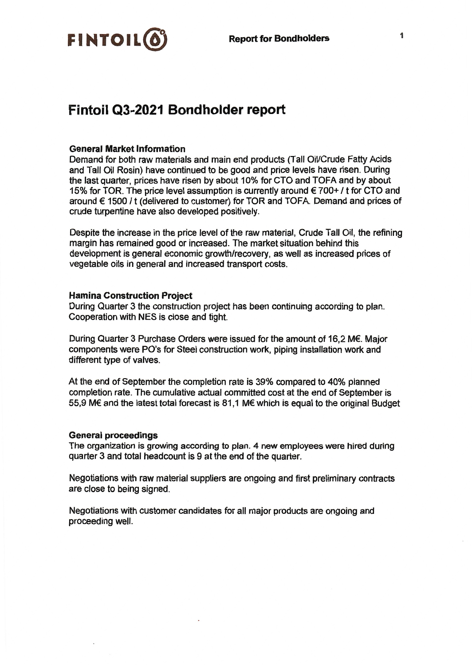

# Fintoil Q3-2021 Bondholder report

### **General Market Information**

Demand for both raw materials and main end products (Tall Oil/Crude Fatty Acids and Tall Oil Rosin) have continued to be good and price levels have risen. During the last quarter, prices have risen by about 10% for CTO and TOFA and by about 15% for TOR. The price level assumption is currently around €700+/t for CTO and around € 1500 / t (delivered to customer) for TOR and TOFA. Demand and prices of crude turpentine have also developed positively.

Despite the increase in the price level of the raw material, Crude Tall Oil, the refining margin has remained good or increased. The market situation behind this development is general economic growth/recovery, as well as increased prices of vegetable oils in general and increased transport costs.

### **Hamina Construction Project**

During Quarter 3 the construction project has been continuing according to plan. Cooperation with NES is close and tight.

During Quarter 3 Purchase Orders were issued for the amount of 16.2 M€. Major components were PO's for Steel construction work, piping installation work and different type of valves.

At the end of September the completion rate is 39% compared to 40% planned completion rate. The cumulative actual committed cost at the end of September is 55,9 M€ and the latest total forecast is 81,1 M€ which is equal to the original Budget

#### **General proceedings**

The organization is growing according to plan. 4 new employees were hired during quarter 3 and total headcount is 9 at the end of the quarter.

Negotiations with raw material suppliers are ongoing and first preliminary contracts are close to being signed.

Negotiations with customer candidates for all major products are ongoing and proceeding well.